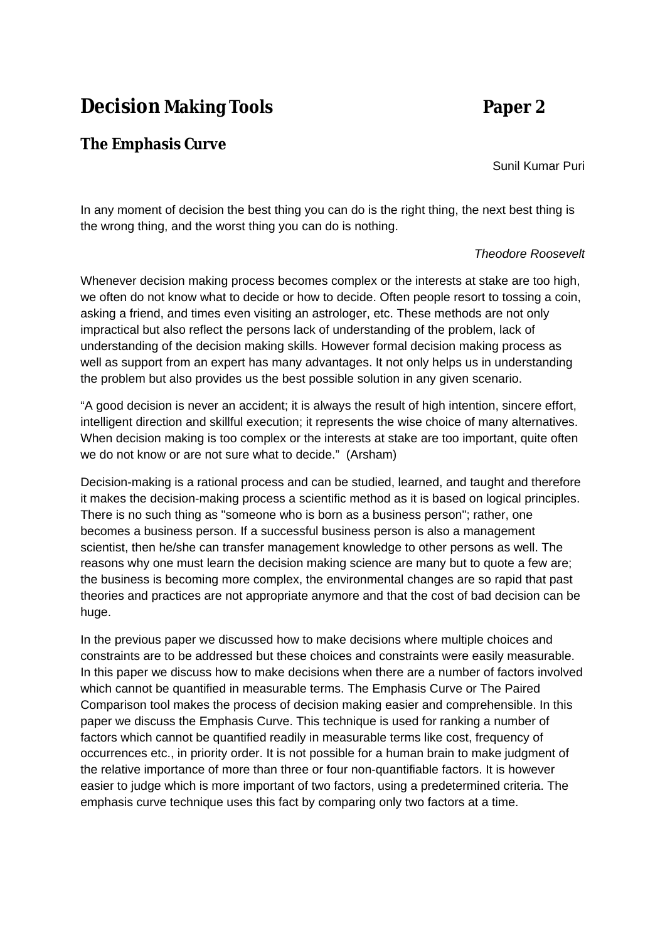# **Decision** Making Tools **Paper 2**

# **The Emphasis Curve**

Sunil Kumar Puri

In any moment of decision the best thing you can do is the right thing, the next best thing is the wrong thing, and the worst thing you can do is nothing.

#### *Theodore Roosevelt*

Whenever decision making process becomes complex or the interests at stake are too high, we often do not know what to decide or how to decide. Often people resort to tossing a coin, asking a friend, and times even visiting an astrologer, etc. These methods are not only impractical but also reflect the persons lack of understanding of the problem, lack of understanding of the decision making skills. However formal decision making process as well as support from an expert has many advantages. It not only helps us in understanding the problem but also provides us the best possible solution in any given scenario.

"A good decision is never an accident; it is always the result of high intention, sincere effort, intelligent direction and skillful execution; it represents the wise choice of many alternatives. When decision making is too complex or the interests at stake are too important, quite often we do not know or are not sure what to decide." (Arsham)

Decision-making is a rational process and can be studied, learned, and taught and therefore it makes the decision-making process a scientific method as it is based on logical principles. There is no such thing as "someone who is born as a business person"; rather, one becomes a business person. If a successful business person is also a management scientist, then he/she can transfer management knowledge to other persons as well. The reasons why one must learn the decision making science are many but to quote a few are; the business is becoming more complex, the environmental changes are so rapid that past theories and practices are not appropriate anymore and that the cost of bad decision can be huge.

In the previous paper we discussed how to make decisions where multiple choices and constraints are to be addressed but these choices and constraints were easily measurable. In this paper we discuss how to make decisions when there are a number of factors involved which cannot be quantified in measurable terms. The Emphasis Curve or The Paired Comparison tool makes the process of decision making easier and comprehensible. In this paper we discuss the Emphasis Curve. This technique is used for ranking a number of factors which cannot be quantified readily in measurable terms like cost, frequency of occurrences etc., in priority order. It is not possible for a human brain to make judgment of the relative importance of more than three or four non-quantifiable factors. It is however easier to judge which is more important of two factors, using a predetermined criteria. The emphasis curve technique uses this fact by comparing only two factors at a time.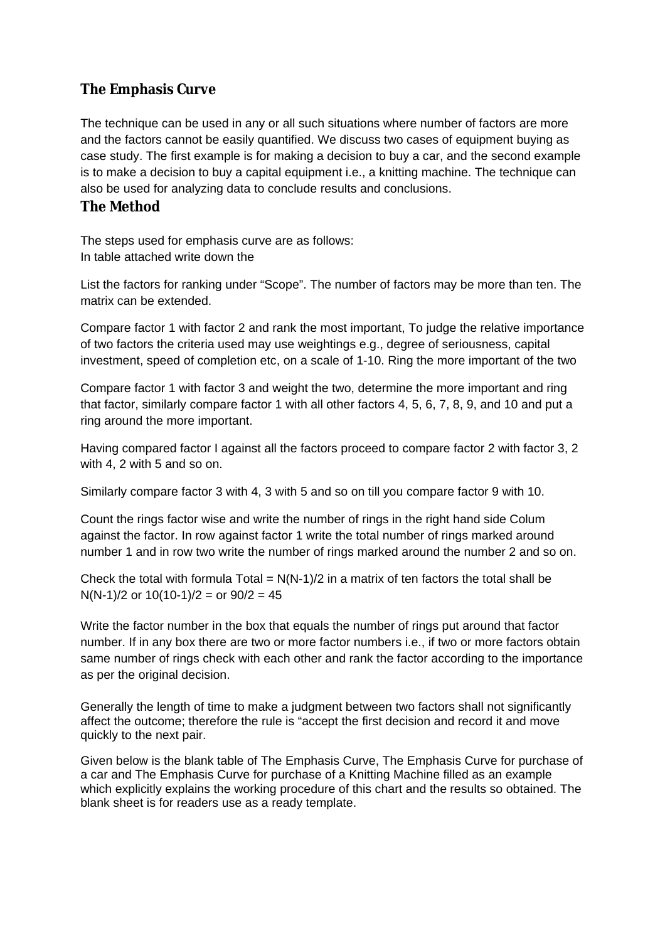# **The Emphasis Curve**

The technique can be used in any or all such situations where number of factors are more and the factors cannot be easily quantified. We discuss two cases of equipment buying as case study. The first example is for making a decision to buy a car, and the second example is to make a decision to buy a capital equipment i.e., a knitting machine. The technique can also be used for analyzing data to conclude results and conclusions.

### **The Method**

The steps used for emphasis curve are as follows: In table attached write down the

List the factors for ranking under "Scope". The number of factors may be more than ten. The matrix can be extended.

Compare factor 1 with factor 2 and rank the most important, To judge the relative importance of two factors the criteria used may use weightings e.g., degree of seriousness, capital investment, speed of completion etc, on a scale of 1-10. Ring the more important of the two

Compare factor 1 with factor 3 and weight the two, determine the more important and ring that factor, similarly compare factor 1 with all other factors 4, 5, 6, 7, 8, 9, and 10 and put a ring around the more important.

Having compared factor I against all the factors proceed to compare factor 2 with factor 3, 2 with 4, 2 with 5 and so on.

Similarly compare factor 3 with 4, 3 with 5 and so on till you compare factor 9 with 10.

Count the rings factor wise and write the number of rings in the right hand side Colum against the factor. In row against factor 1 write the total number of rings marked around number 1 and in row two write the number of rings marked around the number 2 and so on.

Check the total with formula Total =  $N(N-1)/2$  in a matrix of ten factors the total shall be  $N(N-1)/2$  or  $10(10-1)/2 = 0$  or  $90/2 = 45$ 

Write the factor number in the box that equals the number of rings put around that factor number. If in any box there are two or more factor numbers i.e., if two or more factors obtain same number of rings check with each other and rank the factor according to the importance as per the original decision.

Generally the length of time to make a judgment between two factors shall not significantly affect the outcome; therefore the rule is "accept the first decision and record it and move quickly to the next pair.

Given below is the blank table of The Emphasis Curve, The Emphasis Curve for purchase of a car and The Emphasis Curve for purchase of a Knitting Machine filled as an example which explicitly explains the working procedure of this chart and the results so obtained. The blank sheet is for readers use as a ready template.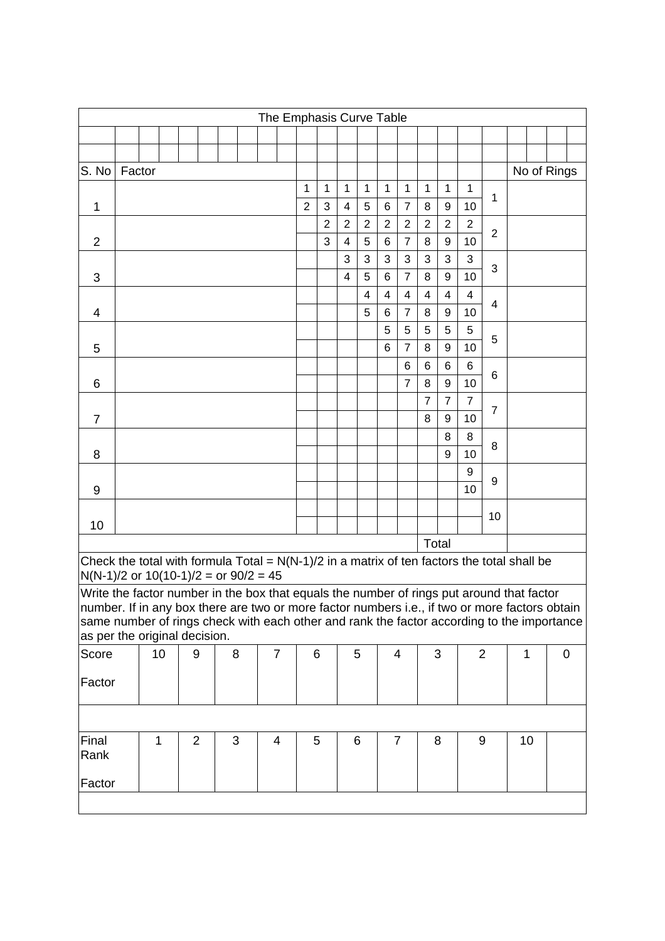|                                                                                                                                          |        |              |  |  |                |   |  |  |                          | The Emphasis Curve Table |                |                |                |                |                |                |                |                |                |              |           |
|------------------------------------------------------------------------------------------------------------------------------------------|--------|--------------|--|--|----------------|---|--|--|--------------------------|--------------------------|----------------|----------------|----------------|----------------|----------------|----------------|----------------|----------------|----------------|--------------|-----------|
|                                                                                                                                          |        |              |  |  |                |   |  |  |                          |                          |                |                |                |                |                |                |                |                |                |              |           |
|                                                                                                                                          |        |              |  |  |                |   |  |  |                          |                          |                |                |                |                |                |                |                |                |                |              |           |
| S. No                                                                                                                                    | Factor |              |  |  |                |   |  |  |                          |                          |                |                |                |                |                |                |                |                |                | No of Rings  |           |
|                                                                                                                                          |        |              |  |  |                |   |  |  |                          | 1                        | $\mathbf 1$    | 1              | 1              | 1              | 1              | 1              | 1              | 1              |                |              |           |
| 1                                                                                                                                        |        |              |  |  |                |   |  |  |                          | $\overline{2}$           | 3              | 4              | 5              | 6              | $\overline{7}$ | 8              | 9              | 10             | 1              |              |           |
|                                                                                                                                          |        |              |  |  |                |   |  |  |                          |                          | $\overline{2}$ | $\overline{2}$ | $\overline{2}$ | $\overline{2}$ | $\overline{2}$ | $\overline{2}$ | $\overline{2}$ | $\overline{2}$ |                |              |           |
| $\overline{2}$                                                                                                                           |        |              |  |  |                |   |  |  |                          |                          | 3              | 4              | 5              | 6              | $\overline{7}$ | 8              | 9              | 10             | $\overline{2}$ |              |           |
|                                                                                                                                          |        |              |  |  |                |   |  |  |                          |                          |                | 3              | 3              | 3              | 3              | 3              | 3              | 3              | 3              |              |           |
| 3                                                                                                                                        |        |              |  |  |                |   |  |  |                          |                          |                | 4              | 5              | 6              | $\overline{7}$ | 8              | 9              | 10             |                |              |           |
|                                                                                                                                          |        |              |  |  |                |   |  |  |                          |                          |                |                | 4              | 4              | 4              | 4              | 4              | 4              | 4              |              |           |
| 4                                                                                                                                        |        |              |  |  |                |   |  |  |                          |                          |                |                | 5              | 6              | $\overline{7}$ | 8              | 9              | 10             |                |              |           |
|                                                                                                                                          |        |              |  |  |                |   |  |  |                          |                          |                |                |                | 5              | 5              | 5              | 5              | 5              | 5              |              |           |
| 5                                                                                                                                        |        |              |  |  |                |   |  |  |                          |                          |                |                |                | 6              | $\overline{7}$ | 8              | 9              | 10             |                |              |           |
|                                                                                                                                          |        |              |  |  |                |   |  |  |                          |                          |                |                |                |                | 6              | 6              | 6              | $\,6$          | 6              |              |           |
| 6                                                                                                                                        |        |              |  |  |                |   |  |  |                          |                          |                |                |                |                | 7              | 8              | 9              | 10             |                |              |           |
|                                                                                                                                          |        |              |  |  |                |   |  |  |                          |                          |                |                |                |                |                | 7              | $\overline{7}$ | $\overline{7}$ | 7              |              |           |
| $\overline{7}$                                                                                                                           |        |              |  |  |                |   |  |  |                          |                          |                |                |                |                |                | 8              | 9              | 10             |                |              |           |
|                                                                                                                                          |        |              |  |  |                |   |  |  |                          |                          |                |                |                |                |                |                | 8              | 8              | 8              |              |           |
| 8                                                                                                                                        |        |              |  |  |                |   |  |  |                          |                          |                |                |                |                |                | 9              | 10             |                |                |              |           |
|                                                                                                                                          |        |              |  |  |                |   |  |  |                          |                          |                |                |                |                |                |                | 9              | 9              |                |              |           |
| 9                                                                                                                                        |        |              |  |  |                |   |  |  |                          |                          |                |                |                |                |                |                |                | 10             |                |              |           |
|                                                                                                                                          |        |              |  |  |                |   |  |  |                          |                          |                |                |                |                |                |                |                |                | 10             |              |           |
| 10                                                                                                                                       |        |              |  |  |                |   |  |  |                          |                          |                |                |                |                |                |                |                |                |                |              |           |
|                                                                                                                                          |        |              |  |  |                |   |  |  |                          |                          |                |                |                |                |                | Total          |                |                |                |              |           |
| Check the total with formula Total = $N(N-1)/2$ in a matrix of ten factors the total shall be<br>$N(N-1)/2$ or 10(10-1)/2 = or 90/2 = 45 |        |              |  |  |                |   |  |  |                          |                          |                |                |                |                |                |                |                |                |                |              |           |
| Write the factor number in the box that equals the number of rings put around that factor                                                |        |              |  |  |                |   |  |  |                          |                          |                |                |                |                |                |                |                |                |                |              |           |
| number. If in any box there are two or more factor numbers i.e., if two or more factors obtain                                           |        |              |  |  |                |   |  |  |                          |                          |                |                |                |                |                |                |                |                |                |              |           |
| same number of rings check with each other and rank the factor according to the importance                                               |        |              |  |  |                |   |  |  |                          |                          |                |                |                |                |                |                |                |                |                |              |           |
| as per the original decision.                                                                                                            |        |              |  |  | 9              | 8 |  |  | $\overline{7}$           |                          |                |                |                |                |                |                |                |                |                | $\mathbf{1}$ |           |
| Score                                                                                                                                    |        | 10           |  |  |                |   |  |  |                          |                          | $\,6$          |                | 5              |                | $\overline{4}$ |                | 3              |                | $\overline{2}$ |              | $\pmb{0}$ |
| Factor                                                                                                                                   |        |              |  |  |                |   |  |  |                          |                          |                |                |                |                |                |                |                |                |                |              |           |
|                                                                                                                                          |        |              |  |  |                |   |  |  |                          |                          |                |                |                |                |                |                |                |                |                |              |           |
| Final<br>Rank                                                                                                                            |        | $\mathbf{1}$ |  |  | $\overline{2}$ | 3 |  |  | $\overline{\mathcal{A}}$ |                          | 5              |                | 6              |                | $\overline{7}$ |                | 8              |                | 9              | 10           |           |
| Factor                                                                                                                                   |        |              |  |  |                |   |  |  |                          |                          |                |                |                |                |                |                |                |                |                |              |           |
|                                                                                                                                          |        |              |  |  |                |   |  |  |                          |                          |                |                |                |                |                |                |                |                |                |              |           |
|                                                                                                                                          |        |              |  |  |                |   |  |  |                          |                          |                |                |                |                |                |                |                |                |                |              |           |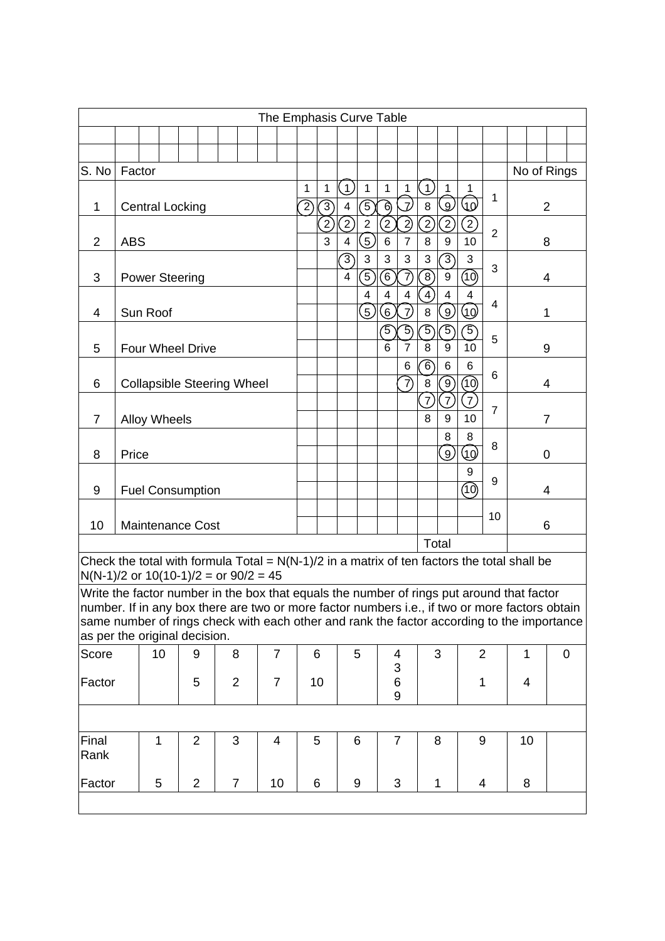|                                                                                                                                                                                              | The Emphasis Curve Table                                                                      |                     |                        |  |                         |   |  |        |    |              |                |           |                  |                   |                      |                   |                                                                                                         |                   |                |                |             |                |  |
|----------------------------------------------------------------------------------------------------------------------------------------------------------------------------------------------|-----------------------------------------------------------------------------------------------|---------------------|------------------------|--|-------------------------|---|--|--------|----|--------------|----------------|-----------|------------------|-------------------|----------------------|-------------------|---------------------------------------------------------------------------------------------------------|-------------------|----------------|----------------|-------------|----------------|--|
|                                                                                                                                                                                              |                                                                                               |                     |                        |  |                         |   |  |        |    |              |                |           |                  |                   |                      |                   |                                                                                                         |                   |                |                |             |                |  |
|                                                                                                                                                                                              |                                                                                               |                     |                        |  |                         |   |  |        |    |              |                |           |                  |                   |                      |                   |                                                                                                         |                   |                |                |             |                |  |
| S. No                                                                                                                                                                                        | Factor                                                                                        |                     |                        |  |                         |   |  |        |    |              |                |           |                  |                   |                      |                   |                                                                                                         |                   |                |                | No of Rings |                |  |
|                                                                                                                                                                                              |                                                                                               |                     |                        |  |                         |   |  |        |    | 1            | $\mathbf{1}$   | $\bigcup$ | $\mathbf{1}$     | 1                 | 1                    | $\bigcup$         | 1                                                                                                       | 1                 |                |                |             |                |  |
| 1                                                                                                                                                                                            |                                                                                               |                     | <b>Central Locking</b> |  |                         |   |  |        |    | $\mathbf{2}$ | 3              | 4         | $\left(5\right)$ | 6)                | I                    | 8                 | زی                                                                                                      | W                 | 1              |                |             | $\overline{2}$ |  |
|                                                                                                                                                                                              |                                                                                               |                     |                        |  |                         |   |  |        |    |              | $\overline{c}$ | 2)        | $\mathbf 2$      | $\left( 2\right)$ | $\overline{2}$       | $\overline{2}$    | $\overline{2}$                                                                                          | $\left( 2\right)$ |                |                |             |                |  |
| 2                                                                                                                                                                                            | <b>ABS</b>                                                                                    |                     |                        |  |                         |   |  |        |    |              | 3              | 4         | 5)               | 6                 | $\overline{7}$       | 8                 | 9                                                                                                       | 10                | $\overline{2}$ | 8              |             |                |  |
|                                                                                                                                                                                              |                                                                                               |                     |                        |  |                         |   |  |        |    |              |                | 3         | 3                | 3                 | 3                    | 3                 | $\mathfrak{D}% _{T}=\mathfrak{D}_{T}\!\left( a,b\right) ,\ \mathfrak{D}_{T}=C_{T}\!\left( a,b\right) ,$ | 3                 | 3              |                |             |                |  |
| 3                                                                                                                                                                                            |                                                                                               |                     | <b>Power Steering</b>  |  |                         |   |  |        |    |              |                | 4         | $\sqrt{5}$       | $\widehat{6}$     | $\overrightarrow{7}$ | $\left( 8\right)$ | $\mathsf g$                                                                                             | @                 |                |                | 4           |                |  |
|                                                                                                                                                                                              |                                                                                               |                     |                        |  |                         |   |  |        |    |              |                |           | 4                | 4                 | 4                    | $\overline{4}$    | $\overline{4}$                                                                                          | 4                 | 4              |                |             |                |  |
| 4                                                                                                                                                                                            | Sun Roof                                                                                      |                     |                        |  |                         |   |  |        |    |              |                |           | $\overline{5}$   | $6\phantom{.}6$   | $\vec{z}$            | 8                 | 9)                                                                                                      | (10               |                |                | 1           |                |  |
|                                                                                                                                                                                              |                                                                                               |                     |                        |  |                         |   |  |        |    |              |                |           |                  | 5                 | হ)                   | $\widehat{5}$     | $\widehat{5}$                                                                                           | 5)                | 5              |                |             |                |  |
| 5                                                                                                                                                                                            |                                                                                               |                     |                        |  | <b>Four Wheel Drive</b> |   |  |        |    |              |                |           |                  | 6                 | $\overline{7}$       | 8                 | 9                                                                                                       | 10                |                |                | 9           |                |  |
|                                                                                                                                                                                              |                                                                                               |                     |                        |  |                         |   |  |        |    |              |                |           |                  |                   | 6                    | ିତି               | 6                                                                                                       | 6                 | 6              |                |             |                |  |
| 6                                                                                                                                                                                            | <b>Collapsible Steering Wheel</b>                                                             |                     |                        |  |                         |   |  |        |    |              |                |           |                  | 7                 | 8                    | $\left[9\right]$  | @                                                                                                       |                   |                | 4              |             |                |  |
|                                                                                                                                                                                              |                                                                                               |                     |                        |  |                         |   |  |        |    |              |                |           |                  | $\overline{L}$    | $\overline{7}$       | 7)                | $\overline{7}$                                                                                          |                   |                |                |             |                |  |
| $\overline{7}$                                                                                                                                                                               |                                                                                               | <b>Alloy Wheels</b> |                        |  |                         |   |  |        |    |              |                |           |                  | 8                 | 9                    | 10                |                                                                                                         |                   |                | $\overline{7}$ |             |                |  |
|                                                                                                                                                                                              |                                                                                               |                     |                        |  |                         |   |  |        |    |              |                |           |                  |                   |                      | 8                 | 8                                                                                                       | 8                 |                |                |             |                |  |
| 8                                                                                                                                                                                            | Price                                                                                         |                     |                        |  |                         |   |  |        |    |              |                |           |                  |                   | 9)                   | (10)              |                                                                                                         |                   |                | $\mathbf 0$    |             |                |  |
|                                                                                                                                                                                              |                                                                                               |                     |                        |  |                         |   |  |        |    |              |                |           |                  |                   |                      | 9                 |                                                                                                         | 9<br>4            |                |                |             |                |  |
| 9                                                                                                                                                                                            | <b>Fuel Consumption</b>                                                                       |                     |                        |  |                         |   |  |        |    |              |                |           |                  |                   | @                    |                   |                                                                                                         |                   |                |                |             |                |  |
|                                                                                                                                                                                              |                                                                                               |                     |                        |  |                         |   |  |        |    |              |                |           |                  |                   |                      |                   |                                                                                                         |                   | 10             |                |             |                |  |
| 10                                                                                                                                                                                           |                                                                                               |                     |                        |  | <b>Maintenance Cost</b> |   |  |        |    |              |                |           |                  |                   |                      |                   |                                                                                                         |                   |                |                | 6           |                |  |
|                                                                                                                                                                                              |                                                                                               |                     |                        |  |                         |   |  |        |    |              |                |           |                  | Total             |                      |                   |                                                                                                         |                   |                |                |             |                |  |
|                                                                                                                                                                                              | Check the total with formula Total = $N(N-1)/2$ in a matrix of ten factors the total shall be |                     |                        |  |                         |   |  |        |    |              |                |           |                  |                   |                      |                   |                                                                                                         |                   |                |                |             |                |  |
| $N(N-1)/2$ or 10(10-1)/2 = or 90/2 = 45                                                                                                                                                      |                                                                                               |                     |                        |  |                         |   |  |        |    |              |                |           |                  |                   |                      |                   |                                                                                                         |                   |                |                |             |                |  |
| Write the factor number in the box that equals the number of rings put around that factor                                                                                                    |                                                                                               |                     |                        |  |                         |   |  |        |    |              |                |           |                  |                   |                      |                   |                                                                                                         |                   |                |                |             |                |  |
| number. If in any box there are two or more factor numbers i.e., if two or more factors obtain<br>same number of rings check with each other and rank the factor according to the importance |                                                                                               |                     |                        |  |                         |   |  |        |    |              |                |           |                  |                   |                      |                   |                                                                                                         |                   |                |                |             |                |  |
| as per the original decision.                                                                                                                                                                |                                                                                               |                     |                        |  |                         |   |  |        |    |              |                |           |                  |                   |                      |                   |                                                                                                         |                   |                |                |             |                |  |
| Score                                                                                                                                                                                        |                                                                                               |                     | 10                     |  | 9                       | 8 |  |        | 7  |              | 6              | 5         |                  |                   | 4                    |                   | 3                                                                                                       | $\overline{2}$    |                |                | 1           | $\mathbf 0$    |  |
|                                                                                                                                                                                              |                                                                                               |                     |                        |  |                         |   |  |        |    |              |                |           |                  |                   | 3                    |                   |                                                                                                         |                   |                |                |             |                |  |
| Factor                                                                                                                                                                                       | 5<br>$\overline{2}$<br>$\overline{7}$                                                         |                     |                        |  |                         |   |  |        | 10 |              |                |           | $\,$ 6 $\,$      |                   |                      | 1                 |                                                                                                         | 4                 |                |                |             |                |  |
|                                                                                                                                                                                              | 9                                                                                             |                     |                        |  |                         |   |  |        |    |              |                |           |                  |                   |                      |                   |                                                                                                         |                   |                |                |             |                |  |
|                                                                                                                                                                                              |                                                                                               |                     |                        |  |                         |   |  |        |    |              |                |           |                  |                   |                      |                   |                                                                                                         |                   |                |                |             |                |  |
| Final                                                                                                                                                                                        |                                                                                               |                     | 1                      |  | $\overline{2}$          | 3 |  |        | 4  |              | 5              | 6         |                  |                   | $\overline{7}$       |                   | 8                                                                                                       |                   | 9              |                | 10          |                |  |
| Rank                                                                                                                                                                                         |                                                                                               |                     |                        |  |                         |   |  |        |    |              |                |           |                  |                   |                      |                   |                                                                                                         |                   |                |                |             |                |  |
| Factor                                                                                                                                                                                       | $\overline{2}$<br>5<br>$\overline{7}$<br>10                                                   |                     |                        |  |                         |   |  | 6<br>9 |    | 3            |                |           | 4<br>1           |                   | 8                    |                   |                                                                                                         |                   |                |                |             |                |  |
|                                                                                                                                                                                              |                                                                                               |                     |                        |  |                         |   |  |        |    |              |                |           |                  |                   |                      |                   |                                                                                                         |                   |                |                |             |                |  |
|                                                                                                                                                                                              |                                                                                               |                     |                        |  |                         |   |  |        |    |              |                |           |                  |                   |                      |                   |                                                                                                         |                   |                |                |             |                |  |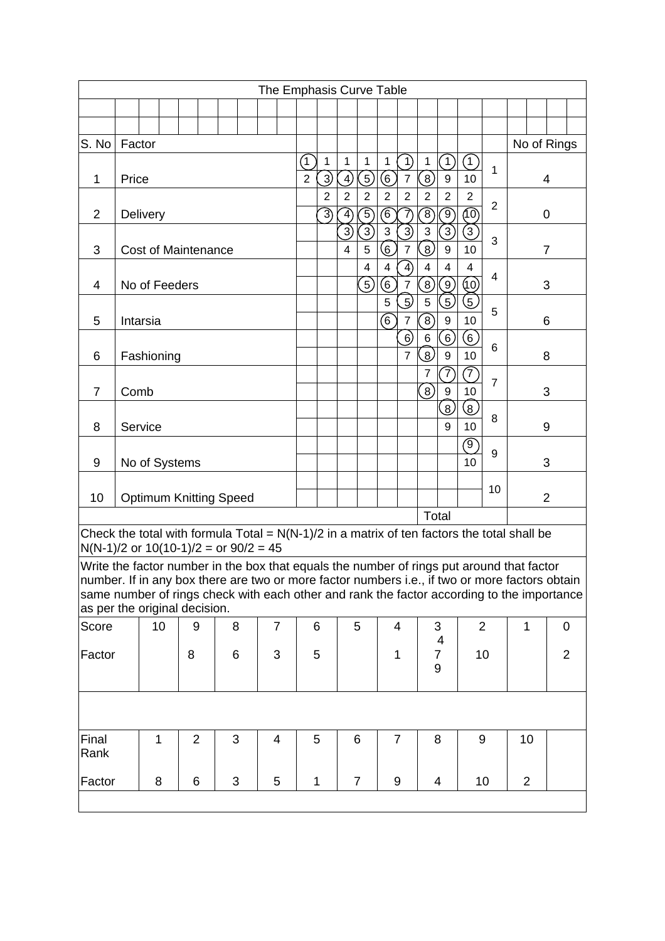|                                                                                                | The Emphasis Curve Table                                                                                                             |               |    |  |   |                            |   |  |   |   |                    |                |                  |                |                       |                      |                   |                                                |                  |                |   |                |  |                |  |  |
|------------------------------------------------------------------------------------------------|--------------------------------------------------------------------------------------------------------------------------------------|---------------|----|--|---|----------------------------|---|--|---|---|--------------------|----------------|------------------|----------------|-----------------------|----------------------|-------------------|------------------------------------------------|------------------|----------------|---|----------------|--|----------------|--|--|
|                                                                                                |                                                                                                                                      |               |    |  |   |                            |   |  |   |   |                    |                |                  |                |                       |                      |                   |                                                |                  |                |   |                |  |                |  |  |
|                                                                                                |                                                                                                                                      |               |    |  |   |                            |   |  |   |   |                    |                |                  |                |                       |                      |                   |                                                |                  |                |   |                |  |                |  |  |
| S. No                                                                                          | Factor                                                                                                                               |               |    |  |   |                            |   |  |   |   |                    |                |                  |                |                       |                      |                   |                                                |                  |                |   | No of Rings    |  |                |  |  |
|                                                                                                |                                                                                                                                      |               |    |  |   |                            |   |  |   |   | $\left( 1 \right)$ | $\mathbf{1}$   | 1                | 1              | 1                     | $\hat{1}$            | $\mathbf 1$       | $\left( \begin{matrix} 1 \end{matrix} \right)$ | (1)              | 1              |   |                |  |                |  |  |
| 1                                                                                              | Price                                                                                                                                |               |    |  |   |                            |   |  |   |   | $\overline{2}$     | $\mathcal{Y}$  | $\left(4\right)$ | 5)             | $\bigcirc$            | $\overline{7}$       | (8)               | 9                                              | 10               |                |   | 4              |  |                |  |  |
|                                                                                                |                                                                                                                                      |               |    |  |   |                            |   |  |   |   |                    | $\overline{2}$ | $\overline{2}$   | $\overline{2}$ | $\overline{2}$        | $\overline{2}$       | $\overline{2}$    | $\overline{2}$                                 | $\overline{2}$   | $\overline{2}$ |   |                |  |                |  |  |
| $\overline{2}$                                                                                 | Delivery                                                                                                                             |               |    |  |   |                            |   |  |   |   |                    | 3)             | $\mathbf{4}$     | $\widehat{5}$  | 6                     | 7                    | ි8)               | $\Theta$                                       | രി               |                | 0 |                |  |                |  |  |
|                                                                                                |                                                                                                                                      |               |    |  |   |                            |   |  |   |   |                    |                | $\mathcal{E}$    | $\mathbf{3}$   | 3                     | $\left(3\right)$     | 3                 | $\left(3\right)$                               | $\left(3\right)$ | 3              |   |                |  |                |  |  |
| 3                                                                                              |                                                                                                                                      |               |    |  |   | <b>Cost of Maintenance</b> |   |  |   |   |                    |                | 4                | 5              | $\bigcirc$            | $\overline{7}$       | $\left( 8\right)$ | 9                                              | 10               |                |   | $\overline{7}$ |  |                |  |  |
|                                                                                                |                                                                                                                                      |               |    |  |   |                            |   |  |   |   |                    |                |                  | 4              | 4<br>$\left[6\right]$ | $\overrightarrow{4}$ | 4                 | 4<br>$\overline{9}$                            | 4<br>(10)        | 4              |   |                |  |                |  |  |
| 4                                                                                              | No of Feeders                                                                                                                        |               |    |  |   |                            |   |  |   |   |                    |                |                  | $\mathfrak{H}$ | 5                     | $\overline{7}$<br>5) | (8)<br>5          | 5)                                             | (5)              |                |   | 3              |  |                |  |  |
| 5                                                                                              | Intarsia                                                                                                                             |               |    |  |   |                            |   |  |   |   |                    |                |                  |                | (6)                   | $\overline{7}$       | $\binom{8}{ }$    | 9                                              | 10               | 5              | 6 |                |  |                |  |  |
|                                                                                                |                                                                                                                                      |               |    |  |   |                            |   |  |   |   |                    |                |                  |                |                       | $\overline{6}$       | 6                 | $\bigcirc$                                     | $^{(6)}$         |                |   |                |  |                |  |  |
| 6                                                                                              | Fashioning                                                                                                                           |               |    |  |   |                            |   |  |   |   |                    |                |                  |                |                       | $\overline{7}$       | ತಿ                | 9                                              | 10               | 6              | 8 |                |  |                |  |  |
|                                                                                                |                                                                                                                                      |               |    |  |   |                            |   |  |   |   |                    |                |                  |                |                       |                      | $\overline{7}$    | $7\,$                                          | 7                |                |   |                |  |                |  |  |
| $\overline{7}$                                                                                 | Comb                                                                                                                                 |               |    |  |   |                            |   |  |   |   |                    |                |                  |                |                       |                      | (8)               | $\boldsymbol{9}$                               | 10               | $\overline{7}$ | 3 |                |  |                |  |  |
|                                                                                                |                                                                                                                                      |               |    |  |   |                            |   |  |   |   |                    |                |                  |                |                       |                      | (8)               | (8)                                            |                  |                |   |                |  |                |  |  |
| 8                                                                                              |                                                                                                                                      | Service       |    |  |   |                            |   |  |   |   |                    |                |                  |                |                       | 9                    | 10                | 8                                              |                  | 9              |   |                |  |                |  |  |
|                                                                                                |                                                                                                                                      |               |    |  |   |                            |   |  |   |   |                    |                |                  |                |                       | 9)                   |                   |                                                |                  |                |   |                |  |                |  |  |
| 9                                                                                              |                                                                                                                                      | No of Systems |    |  |   |                            |   |  |   |   |                    |                |                  |                |                       |                      | 10                | 9                                              | 3                |                |   |                |  |                |  |  |
|                                                                                                |                                                                                                                                      |               |    |  |   |                            |   |  |   |   |                    |                |                  |                |                       | 10                   |                   |                                                |                  |                |   |                |  |                |  |  |
| 10                                                                                             | <b>Optimum Knitting Speed</b>                                                                                                        |               |    |  |   |                            |   |  |   |   |                    |                |                  |                |                       |                      |                   | $\overline{2}$                                 |                  |                |   |                |  |                |  |  |
|                                                                                                | Total                                                                                                                                |               |    |  |   |                            |   |  |   |   |                    |                |                  |                |                       |                      |                   |                                                |                  |                |   |                |  |                |  |  |
|                                                                                                | Check the total with formula Total = $N(N-1)/2$ in a matrix of ten factors the total shall be                                        |               |    |  |   |                            |   |  |   |   |                    |                |                  |                |                       |                      |                   |                                                |                  |                |   |                |  |                |  |  |
|                                                                                                | $N(N-1)/2$ or 10(10-1)/2 = or 90/2 = 45<br>Write the factor number in the box that equals the number of rings put around that factor |               |    |  |   |                            |   |  |   |   |                    |                |                  |                |                       |                      |                   |                                                |                  |                |   |                |  |                |  |  |
| number. If in any box there are two or more factor numbers i.e., if two or more factors obtain |                                                                                                                                      |               |    |  |   |                            |   |  |   |   |                    |                |                  |                |                       |                      |                   |                                                |                  |                |   |                |  |                |  |  |
| same number of rings check with each other and rank the factor according to the importance     |                                                                                                                                      |               |    |  |   |                            |   |  |   |   |                    |                |                  |                |                       |                      |                   |                                                |                  |                |   |                |  |                |  |  |
| as per the original decision.                                                                  |                                                                                                                                      |               |    |  |   |                            |   |  |   |   |                    |                |                  |                |                       |                      |                   |                                                |                  |                |   |                |  |                |  |  |
| Score                                                                                          |                                                                                                                                      |               | 10 |  | 9 |                            | 8 |  |   | 7 | $\,6$              |                | 5                |                |                       | 4                    |                   | $\ensuremath{\mathsf{3}}$                      | $\overline{2}$   |                | 1 |                |  | $\pmb{0}$      |  |  |
| Factor                                                                                         |                                                                                                                                      |               |    |  | 8 |                            | 6 |  |   | 3 |                    | 5              |                  |                |                       | 1                    |                   | 4<br>$\overline{7}$                            | 10               |                |   |                |  | $\overline{2}$ |  |  |
|                                                                                                |                                                                                                                                      |               |    |  |   |                            |   |  |   |   |                    |                |                  |                |                       |                      |                   | 9                                              |                  |                |   |                |  |                |  |  |
|                                                                                                |                                                                                                                                      |               |    |  |   |                            |   |  |   |   |                    |                |                  |                |                       |                      |                   |                                                |                  |                |   |                |  |                |  |  |
|                                                                                                |                                                                                                                                      |               |    |  |   |                            |   |  |   |   |                    |                |                  |                |                       |                      |                   |                                                |                  |                |   |                |  |                |  |  |
|                                                                                                |                                                                                                                                      |               |    |  |   |                            |   |  |   |   |                    |                |                  |                |                       |                      |                   |                                                |                  |                |   |                |  |                |  |  |
| Final                                                                                          | 1<br>$\overline{2}$<br>3<br>5<br>4                                                                                                   |               |    |  |   |                            |   |  | 6 |   |                    | $\overline{7}$ |                  | 8              | 9<br>10               |                      |                   |                                                |                  |                |   |                |  |                |  |  |
| Rank                                                                                           |                                                                                                                                      |               |    |  |   |                            |   |  |   |   |                    |                |                  |                |                       |                      |                   |                                                |                  |                |   |                |  |                |  |  |
| Factor                                                                                         | 6<br>3<br>10<br>$\overline{2}$<br>8<br>5<br>$\mathbf 1$<br>$\overline{7}$<br>9<br>4                                                  |               |    |  |   |                            |   |  |   |   |                    |                |                  |                |                       |                      |                   |                                                |                  |                |   |                |  |                |  |  |
|                                                                                                |                                                                                                                                      |               |    |  |   |                            |   |  |   |   |                    |                |                  |                |                       |                      |                   |                                                |                  |                |   |                |  |                |  |  |